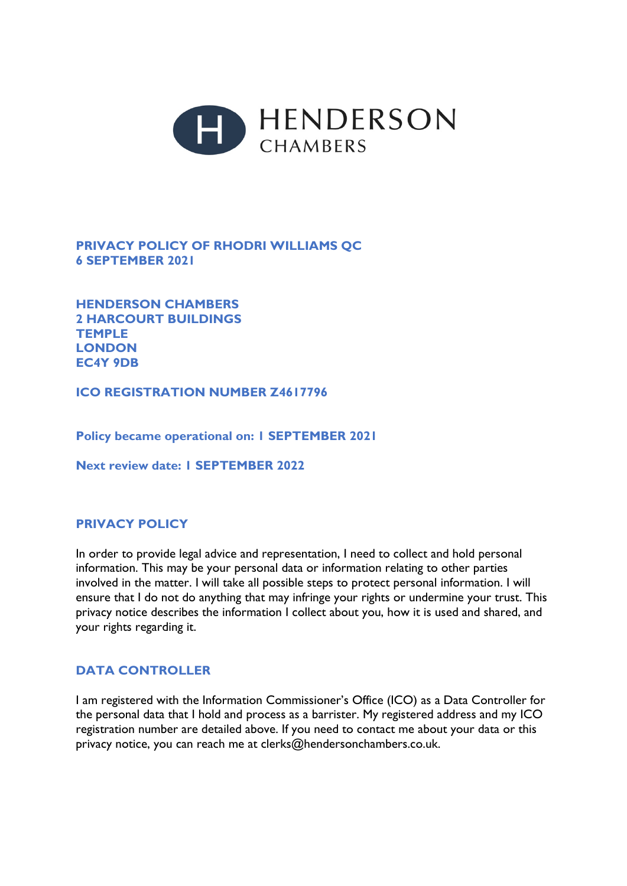

## **PRIVACY POLICY OF RHODRI WILLIAMS QC 6 SEPTEMBER 2021**

**HENDERSON CHAMBERS 2 HARCOURT BUILDINGS TEMPLE LONDON EC4Y 9DB** 

**ICO REGISTRATION NUMBER Z4617796** 

**Policy became operational on: 1 SEPTEMBER 2021** 

**Next review date: 1 SEPTEMBER 2022** 

## **PRIVACY POLICY**

In order to provide legal advice and representation, I need to collect and hold personal information. This may be your personal data or information relating to other parties involved in the matter. I will take all possible steps to protect personal information. I will ensure that I do not do anything that may infringe your rights or undermine your trust. This privacy notice describes the information I collect about you, how it is used and shared, and your rights regarding it.

## **DATA CONTROLLER**

I am registered with the Information Commissioner's Office (ICO) as a Data Controller for the personal data that I hold and process as a barrister. My registered address and my ICO registration number are detailed above. If you need to contact me about your data or this privacy notice, you can reach me at clerks@hendersonchambers.co.uk.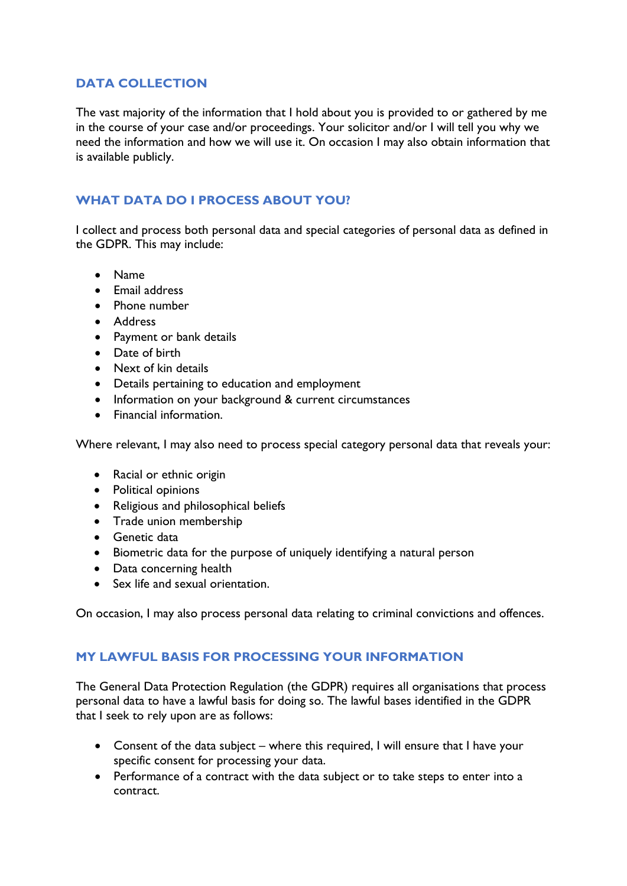## **DATA COLLECTION**

The vast majority of the information that I hold about you is provided to or gathered by me in the course of your case and/or proceedings. Your solicitor and/or I will tell you why we need the information and how we will use it. On occasion I may also obtain information that is available publicly.

# **WHAT DATA DO I PROCESS ABOUT YOU?**

I collect and process both personal data and special categories of personal data as defined in the GDPR. This may include:

- Name
- Email address
- Phone number
- Address
- Payment or bank details
- Date of birth
- Next of kin details
- Details pertaining to education and employment
- Information on your background & current circumstances
- Financial information.

Where relevant, I may also need to process special category personal data that reveals your:

- Racial or ethnic origin
- Political opinions
- Religious and philosophical beliefs
- Trade union membership
- **•** Genetic data
- Biometric data for the purpose of uniquely identifying a natural person
- Data concerning health
- Sex life and sexual orientation.

On occasion, I may also process personal data relating to criminal convictions and offences.

#### **MY LAWFUL BASIS FOR PROCESSING YOUR INFORMATION**

The General Data Protection Regulation (the GDPR) requires all organisations that process personal data to have a lawful basis for doing so. The lawful bases identified in the GDPR that I seek to rely upon are as follows:

- Consent of the data subject where this required, I will ensure that I have your specific consent for processing your data.
- Performance of a contract with the data subject or to take steps to enter into a contract.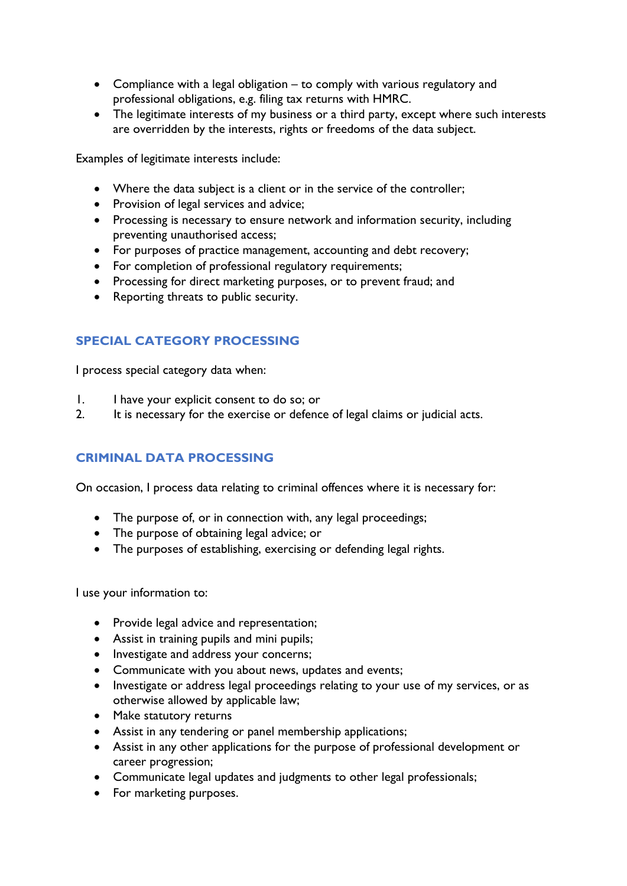- Compliance with a legal obligation to comply with various regulatory and professional obligations, e.g. filing tax returns with HMRC.
- The legitimate interests of my business or a third party, except where such interests are overridden by the interests, rights or freedoms of the data subject.

Examples of legitimate interests include:

- Where the data subject is a client or in the service of the controller;
- Provision of legal services and advice;
- Processing is necessary to ensure network and information security, including preventing unauthorised access;
- For purposes of practice management, accounting and debt recovery;
- For completion of professional regulatory requirements;
- Processing for direct marketing purposes, or to prevent fraud; and
- Reporting threats to public security.

## **SPECIAL CATEGORY PROCESSING**

I process special category data when:

- 1. I have your explicit consent to do so; or
- 2. It is necessary for the exercise or defence of legal claims or judicial acts.

## **CRIMINAL DATA PROCESSING**

On occasion, I process data relating to criminal offences where it is necessary for:

- The purpose of, or in connection with, any legal proceedings;
- The purpose of obtaining legal advice; or
- The purposes of establishing, exercising or defending legal rights.

I use your information to:

- Provide legal advice and representation;
- Assist in training pupils and mini pupils;
- Investigate and address your concerns;
- Communicate with you about news, updates and events;
- Investigate or address legal proceedings relating to your use of my services, or as otherwise allowed by applicable law;
- Make statutory returns
- Assist in any tendering or panel membership applications;
- Assist in any other applications for the purpose of professional development or career progression;
- Communicate legal updates and judgments to other legal professionals;
- For marketing purposes.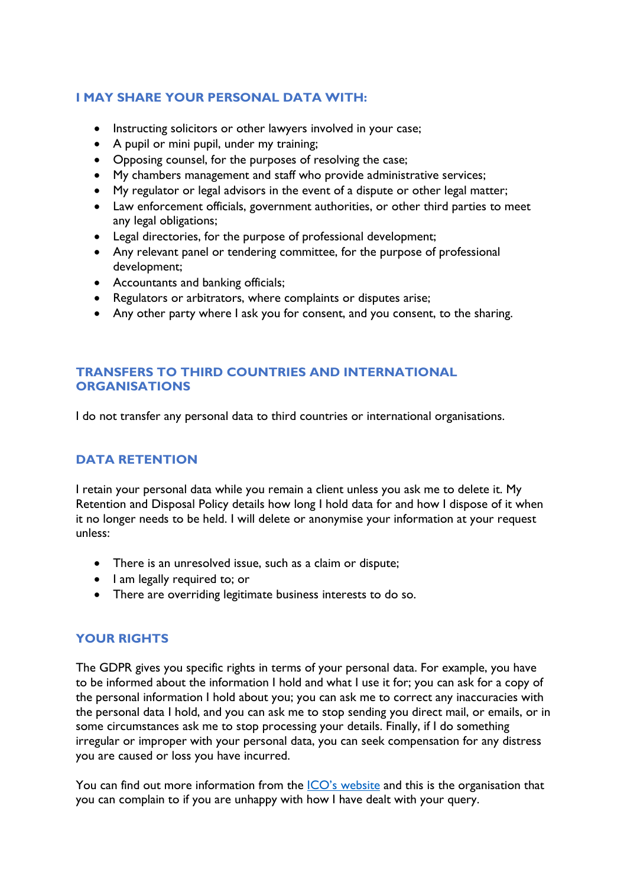### **I MAY SHARE YOUR PERSONAL DATA WITH:**

- Instructing solicitors or other lawyers involved in your case;
- A pupil or mini pupil, under my training;
- Opposing counsel, for the purposes of resolving the case;
- My chambers management and staff who provide administrative services;
- My regulator or legal advisors in the event of a dispute or other legal matter;
- Law enforcement officials, government authorities, or other third parties to meet any legal obligations;
- Legal directories, for the purpose of professional development;
- Any relevant panel or tendering committee, for the purpose of professional development;
- Accountants and banking officials;
- Regulators or arbitrators, where complaints or disputes arise;
- Any other party where I ask you for consent, and you consent, to the sharing.

#### **TRANSFERS TO THIRD COUNTRIES AND INTERNATIONAL ORGANISATIONS**

I do not transfer any personal data to third countries or international organisations.

#### **DATA RETENTION**

I retain your personal data while you remain a client unless you ask me to delete it. My Retention and Disposal Policy details how long I hold data for and how I dispose of it when it no longer needs to be held. I will delete or anonymise your information at your request unless:

- There is an unresolved issue, such as a claim or dispute;
- I am legally required to; or
- There are overriding legitimate business interests to do so.

#### **YOUR RIGHTS**

The GDPR gives you specific rights in terms of your personal data. For example, you have to be informed about the information I hold and what I use it for; you can ask for a copy of the personal information I hold about you; you can ask me to correct any inaccuracies with the personal data I hold, and you can ask me to stop sending you direct mail, or emails, or in some circumstances ask me to stop processing your details. Finally, if I do something irregular or improper with your personal data, you can seek compensation for any distress you are caused or loss you have incurred.

You can find out more information from the [ICO's website](https://ico.org.uk/your-data-matters/) and this is the organisation that you can complain to if you are unhappy with how I have dealt with your query.